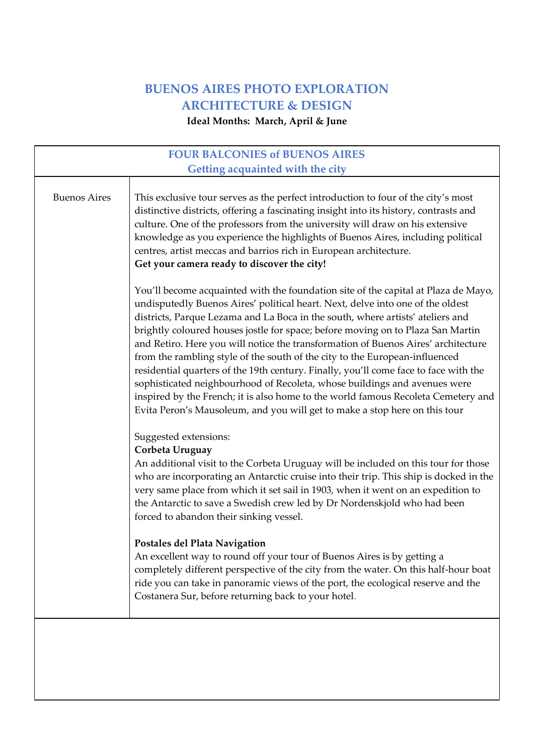## **BUENOS AIRES PHOTO EXPLORATION ARCHITECTURE & DESIGN**

**Ideal Months: March, April & June**

| <b>FOUR BALCONIES of BUENOS AIRES</b><br>Getting acquainted with the city |                                                                                                                                                                                                                                                                                                                                                                                                                                                                                                                                                                                                                                                                                                                                                                                                                                                       |
|---------------------------------------------------------------------------|-------------------------------------------------------------------------------------------------------------------------------------------------------------------------------------------------------------------------------------------------------------------------------------------------------------------------------------------------------------------------------------------------------------------------------------------------------------------------------------------------------------------------------------------------------------------------------------------------------------------------------------------------------------------------------------------------------------------------------------------------------------------------------------------------------------------------------------------------------|
|                                                                           |                                                                                                                                                                                                                                                                                                                                                                                                                                                                                                                                                                                                                                                                                                                                                                                                                                                       |
| <b>Buenos Aires</b>                                                       | This exclusive tour serves as the perfect introduction to four of the city's most<br>distinctive districts, offering a fascinating insight into its history, contrasts and<br>culture. One of the professors from the university will draw on his extensive<br>knowledge as you experience the highlights of Buenos Aires, including political<br>centres, artist meccas and barrios rich in European architecture.<br>Get your camera ready to discover the city!                                                                                                                                                                                                                                                                                                                                                                                    |
|                                                                           | You'll become acquainted with the foundation site of the capital at Plaza de Mayo,<br>undisputedly Buenos Aires' political heart. Next, delve into one of the oldest<br>districts, Parque Lezama and La Boca in the south, where artists' ateliers and<br>brightly coloured houses jostle for space; before moving on to Plaza San Martin<br>and Retiro. Here you will notice the transformation of Buenos Aires' architecture<br>from the rambling style of the south of the city to the European-influenced<br>residential quarters of the 19th century. Finally, you'll come face to face with the<br>sophisticated neighbourhood of Recoleta, whose buildings and avenues were<br>inspired by the French; it is also home to the world famous Recoleta Cemetery and<br>Evita Peron's Mausoleum, and you will get to make a stop here on this tour |
|                                                                           | Suggested extensions:<br>Corbeta Uruguay<br>An additional visit to the Corbeta Uruguay will be included on this tour for those<br>who are incorporating an Antarctic cruise into their trip. This ship is docked in the<br>very same place from which it set sail in 1903, when it went on an expedition to<br>the Antarctic to save a Swedish crew led by Dr Nordenskjold who had been<br>forced to abandon their sinking vessel.<br>Postales del Plata Navigation<br>An excellent way to round off your tour of Buenos Aires is by getting a<br>completely different perspective of the city from the water. On this half-hour boat<br>ride you can take in panoramic views of the port, the ecological reserve and the<br>Costanera Sur, before returning back to your hotel.                                                                      |
|                                                                           |                                                                                                                                                                                                                                                                                                                                                                                                                                                                                                                                                                                                                                                                                                                                                                                                                                                       |